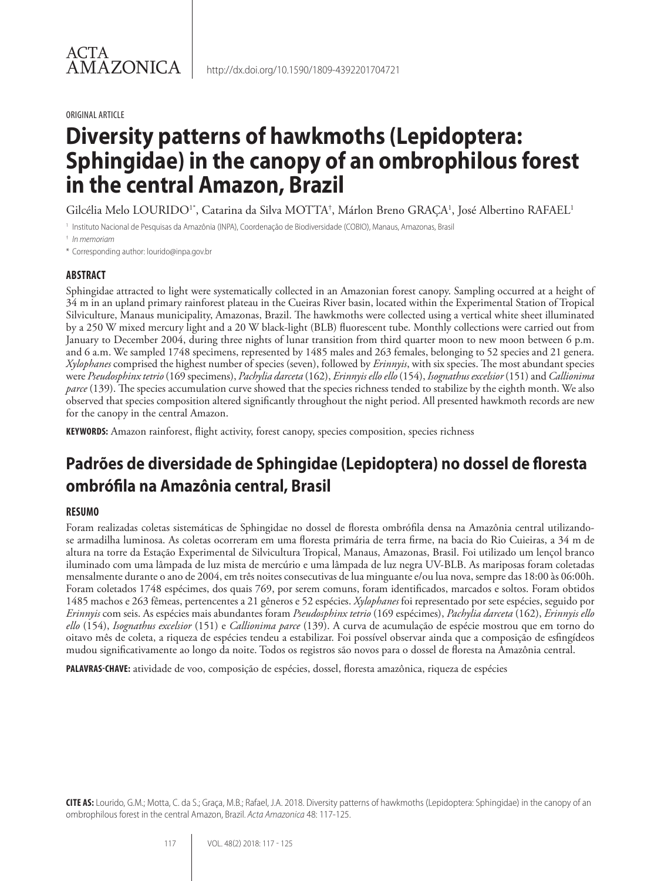#### ORIGINAL ARTICLE

# **Diversity patterns of hawkmoths (Lepidoptera: Sphingidae) in the canopy of an ombrophilous forest in the central Amazon, Brazil**

Gilcélia Melo LOURIDO<sup>1\*</sup>, Catarina da Silva MOTTA<sup>†</sup>, Márlon Breno GRAÇA<sup>1</sup>, José Albertino RAFAEL<sup>1</sup>

<sup>1</sup> Instituto Nacional de Pesquisas da Amazônia (INPA), Coordenação de Biodiversidade (COBIO), Manaus, Amazonas, Brasil

† *In memoriam*

\* Corresponding author: lourido@inpa.gov.br

## **ABSTRACT**

Sphingidae attracted to light were systematically collected in an Amazonian forest canopy. Sampling occurred at a height of 34 m in an upland primary rainforest plateau in the Cueiras River basin, located within the Experimental Station of Tropical Silviculture, Manaus municipality, Amazonas, Brazil. The hawkmoths were collected using a vertical white sheet illuminated by a 250 W mixed mercury light and a 20 W black-light (BLB) fluorescent tube. Monthly collections were carried out from January to December 2004, during three nights of lunar transition from third quarter moon to new moon between 6 p.m. and 6 a.m. We sampled 1748 specimens, represented by 1485 males and 263 females, belonging to 52 species and 21 genera. *Xylophanes* comprised the highest number of species (seven), followed by *Erinnyis*, with six species. The most abundant species were *Pseudosphinx tetrio* (169 specimens), *Pachylia darceta* (162), *Erinnyis ello ello* (154), *Isognathus excelsior* (151) and *Callionima parce* (139). The species accumulation curve showed that the species richness tended to stabilize by the eighth month. We also observed that species composition altered significantly throughout the night period. All presented hawkmoth records are new for the canopy in the central Amazon.

**KEYWORDS:** Amazon rainforest, flight activity, forest canopy, species composition, species richness

## **Padrões de diversidade de Sphingidae (Lepidoptera) no dossel de floresta ombrófila na Amazônia central, Brasil**

## **RESUMO**

Foram realizadas coletas sistemáticas de Sphingidae no dossel de floresta ombrófila densa na Amazônia central utilizandose armadilha luminosa. As coletas ocorreram em uma floresta primária de terra firme, na bacia do Rio Cuieiras, a 34 m de altura na torre da Estação Experimental de Silvicultura Tropical, Manaus, Amazonas, Brasil. Foi utilizado um lençol branco iluminado com uma lâmpada de luz mista de mercúrio e uma lâmpada de luz negra UV-BLB. As mariposas foram coletadas mensalmente durante o ano de 2004, em três noites consecutivas de lua minguante e/ou lua nova, sempre das 18:00 às 06:00h. Foram coletados 1748 espécimes, dos quais 769, por serem comuns, foram identificados, marcados e soltos. Foram obtidos 1485 machos e 263 fêmeas, pertencentes a 21 gêneros e 52 espécies. *Xylophanes* foi representado por sete espécies, seguido por *Erinnyis* com seis. As espécies mais abundantes foram *Pseudosphinx tetrio* (169 espécimes), *Pachylia darceta* (162), *Erinnyis ello ello* (154), *Isognathus excelsior* (151) e *Callionima parce* (139). A curva de acumulação de espécie mostrou que em torno do oitavo mês de coleta, a riqueza de espécies tendeu a estabilizar. Foi possível observar ainda que a composição de esfingídeos mudou significativamente ao longo da noite. Todos os registros são novos para o dossel de floresta na Amazônia central.

**PALAVRAS-CHAVE:** atividade de voo, composição de espécies, dossel, floresta amazônica, riqueza de espécies

**CITE AS:** Lourido, G.M.; Motta, C. da S.; Graça, M.B.; Rafael, J.A. 2018. Diversity patterns of hawkmoths (Lepidoptera: Sphingidae) in the canopy of an ombrophilous forest in the central Amazon, Brazil. *Acta Amazonica* 48: 117-125.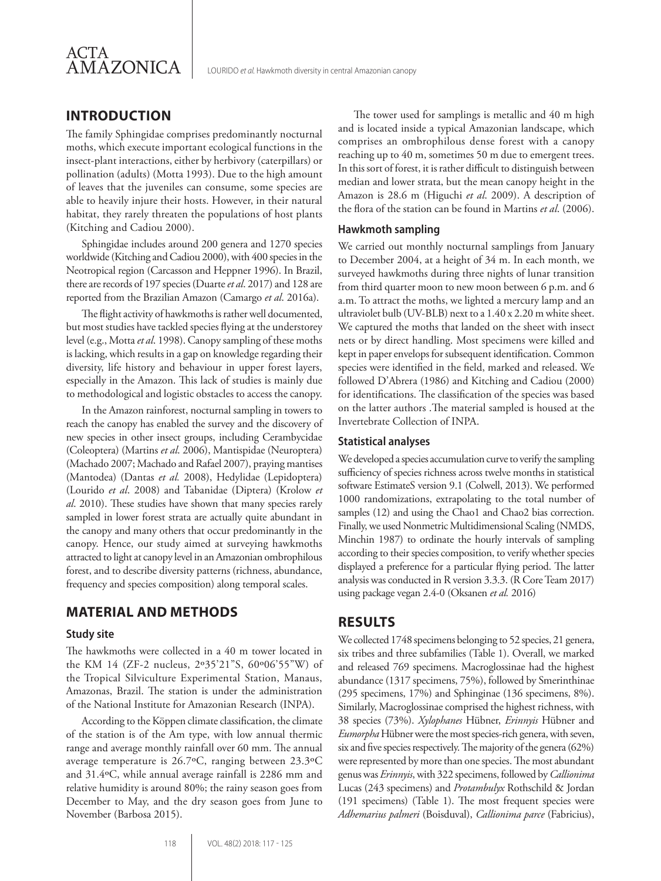

## **INTRODUCTION**

The family Sphingidae comprises predominantly nocturnal moths, which execute important ecological functions in the insect-plant interactions, either by herbivory (caterpillars) or pollination (adults) (Motta 1993). Due to the high amount of leaves that the juveniles can consume, some species are able to heavily injure their hosts. However, in their natural habitat, they rarely threaten the populations of host plants (Kitching and Cadiou 2000).

Sphingidae includes around 200 genera and 1270 species worldwide (Kitching and Cadiou 2000), with 400 species in the Neotropical region (Carcasson and Heppner 1996). In Brazil, there are records of 197 species (Duarte *et al*. 2017) and 128 are reported from the Brazilian Amazon (Camargo *et al*. 2016a).

The flight activity of hawkmoths is rather well documented, but most studies have tackled species flying at the understorey level (e.g., Motta *et al*. 1998). Canopy sampling of these moths is lacking, which results in a gap on knowledge regarding their diversity, life history and behaviour in upper forest layers, especially in the Amazon. This lack of studies is mainly due to methodological and logistic obstacles to access the canopy.

In the Amazon rainforest, nocturnal sampling in towers to reach the canopy has enabled the survey and the discovery of new species in other insect groups, including Cerambycidae (Coleoptera) (Martins *et al*. 2006), Mantispidae (Neuroptera) (Machado 2007; Machado and Rafael 2007), praying mantises (Mantodea) (Dantas *et al.* 2008), Hedylidae (Lepidoptera) (Lourido *et al*. 2008) and Tabanidae (Diptera) (Krolow *et al*. 2010). These studies have shown that many species rarely sampled in lower forest strata are actually quite abundant in the canopy and many others that occur predominantly in the canopy. Hence, our study aimed at surveying hawkmoths attracted to light at canopy level in an Amazonian ombrophilous forest, and to describe diversity patterns (richness, abundance, frequency and species composition) along temporal scales.

## **MATERIAL AND METHODS**

#### **Study site**

The hawkmoths were collected in a 40 m tower located in the KM 14 (ZF-2 nucleus, 2º35'21"S, 60º06'55"W) of the Tropical Silviculture Experimental Station, Manaus, Amazonas, Brazil. The station is under the administration of the National Institute for Amazonian Research (INPA).

According to the Köppen climate classification, the climate of the station is of the Am type, with low annual thermic range and average monthly rainfall over 60 mm. The annual average temperature is 26.7ºC, ranging between 23.3ºC and 31.4ºC, while annual average rainfall is 2286 mm and relative humidity is around 80%; the rainy season goes from December to May, and the dry season goes from June to November (Barbosa 2015).

The tower used for samplings is metallic and 40 m high and is located inside a typical Amazonian landscape, which comprises an ombrophilous dense forest with a canopy reaching up to 40 m, sometimes 50 m due to emergent trees. In this sort of forest, it is rather difficult to distinguish between median and lower strata, but the mean canopy height in the Amazon is 28.6 m (Higuchi *et al*. 2009). A description of the flora of the station can be found in Martins *et al*. (2006).

#### **Hawkmoth sampling**

We carried out monthly nocturnal samplings from January to December 2004, at a height of 34 m. In each month, we surveyed hawkmoths during three nights of lunar transition from third quarter moon to new moon between 6 p.m. and 6 a.m. To attract the moths, we lighted a mercury lamp and an ultraviolet bulb (UV-BLB) next to a 1.40 x 2.20 m white sheet. We captured the moths that landed on the sheet with insect nets or by direct handling. Most specimens were killed and kept in paper envelops for subsequent identification. Common species were identified in the field, marked and released. We followed D'Abrera (1986) and Kitching and Cadiou (2000) for identifications. The classification of the species was based on the latter authors .The material sampled is housed at the Invertebrate Collection of INPA.

#### **Statistical analyses**

We developed a species accumulation curve to verify the sampling sufficiency of species richness across twelve months in statistical software EstimateS version 9.1 (Colwell, 2013). We performed 1000 randomizations, extrapolating to the total number of samples (12) and using the Chao1 and Chao2 bias correction. Finally, we used Nonmetric Multidimensional Scaling (NMDS, Minchin 1987) to ordinate the hourly intervals of sampling according to their species composition, to verify whether species displayed a preference for a particular flying period. The latter analysis was conducted in R version 3.3.3. (R Core Team 2017) using package vegan 2.4-0 (Oksanen *et al.* 2016)

## **RESULTS**

We collected 1748 specimens belonging to 52 species, 21 genera, six tribes and three subfamilies (Table 1). Overall, we marked and released 769 specimens. Macroglossinae had the highest abundance (1317 specimens, 75%), followed by Smerinthinae (295 specimens, 17%) and Sphinginae (136 specimens, 8%). Similarly, Macroglossinae comprised the highest richness, with 38 species (73%). *Xylophanes* Hübner, *Erinnyis* Hübner and *Eumorpha* Hübner were the most species-rich genera, with seven, six and five species respectively. The majority of the genera (62%) were represented by more than one species. The most abundant genus was *Erinnyis*, with 322 specimens, followed by *Callionima*  Lucas (243 specimens) and *Protambulyx* Rothschild & Jordan (191 specimens) (Table 1). The most frequent species were *Adhemarius palmeri* (Boisduval), *Callionima parce* (Fabricius),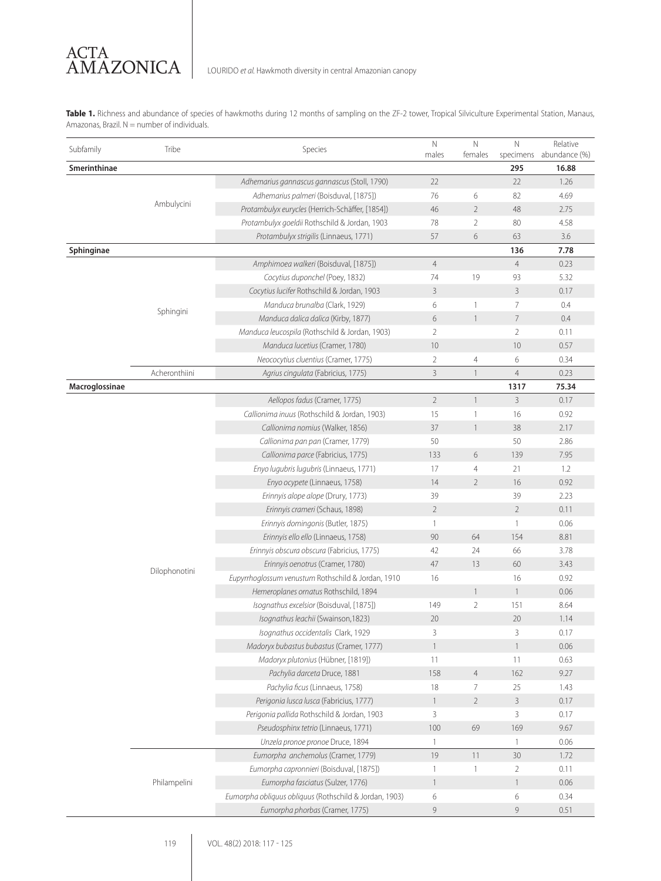**Table 1.** Richness and abundance of species of hawkmoths during 12 months of sampling on the ZF-2 tower, Tropical Silviculture Experimental Station, Manaus, Amazonas, Brazil.  $N =$  number of individuals.

| Subfamily      |                                                                                    | Species                                                | $\mathsf{N}$   | $\mathbb N$    | $\mathbb N$    | Relative                |
|----------------|------------------------------------------------------------------------------------|--------------------------------------------------------|----------------|----------------|----------------|-------------------------|
|                |                                                                                    |                                                        | males          | females        |                | specimens abundance (%) |
| Smerinthinae   |                                                                                    |                                                        |                |                | 295            | 16.88                   |
|                |                                                                                    | Adhemarius gannascus gannascus (Stoll, 1790)           | 22             |                | 22             | 1.26                    |
|                |                                                                                    | Adhemarius palmeri (Boisduval, [1875])                 | 76             | 6              | 82             | 4.69                    |
|                |                                                                                    | Protambulyx eurycles (Herrich-Schäffer, [1854])        | 46             | $\overline{2}$ | 48             | 2.75                    |
|                |                                                                                    | Protambulyx goeldii Rothschild & Jordan, 1903          | 78             | 2              | 80             | 4.58                    |
|                |                                                                                    | Protambulyx strigilis (Linnaeus, 1771)                 | 57             | 6              | 63             | 3.6                     |
| Sphinginae     |                                                                                    |                                                        |                |                | 136            | 7.78                    |
|                |                                                                                    | Amphimoea walkeri (Boisduval, [1875])                  | $\overline{4}$ |                | $\overline{4}$ | 0.23                    |
|                |                                                                                    | Cocytius duponchel (Poey, 1832)                        | 74             | 19             | 93             | 5.32                    |
|                |                                                                                    | Cocytius lucifer Rothschild & Jordan, 1903             | 3              |                | 3              | 0.17                    |
|                | Tribe<br>Ambulycini<br>Sphingini<br>Acheronthiini<br>Dilophonotini<br>Philampelini | Manduca brunalba (Clark, 1929)                         | 6              | 1              | $\overline{7}$ | 0.4                     |
|                |                                                                                    | Manduca dalica dalica (Kirby, 1877)                    | 6              | $\mathbf{1}$   | $\overline{7}$ | 0.4                     |
|                |                                                                                    | Manduca leucospila (Rothschild & Jordan, 1903)         | $\overline{2}$ |                | $\overline{2}$ | 0.11                    |
|                |                                                                                    | Manduca lucetius (Cramer, 1780)                        | 10             |                | 10             | 0.57                    |
|                |                                                                                    | Neococytius cluentius (Cramer, 1775)                   | $\overline{2}$ | 4              | 6              | 0.34                    |
|                |                                                                                    | Agrius cingulata (Fabricius, 1775)                     | 3              | $\mathbf{1}$   | $\overline{4}$ | 0.23                    |
| Macroglossinae |                                                                                    |                                                        |                |                | 1317           | 75.34                   |
|                |                                                                                    | Aellopos fadus (Cramer, 1775)                          | $\overline{2}$ | $\mathbf{1}$   | 3              | 0.17                    |
|                |                                                                                    | Callionima inuus (Rothschild & Jordan, 1903)           | 15             | 1              | 16             | 0.92                    |
|                |                                                                                    | Callionima nomius (Walker, 1856)                       | 37             | $\mathbf{1}$   | 38             | 2.17                    |
|                |                                                                                    | Callionima pan pan (Cramer, 1779)                      | 50             |                | 50             | 2.86                    |
|                |                                                                                    | Callionima parce (Fabricius, 1775)                     | 133            | 6              | 139            | 7.95                    |
|                |                                                                                    | Enyo lugubris lugubris (Linnaeus, 1771)                | 17             | $\overline{4}$ | 21             | 1.2                     |
|                |                                                                                    | Enyo ocypete (Linnaeus, 1758)                          | 14             | $\overline{2}$ | 16             | 0.92                    |
|                |                                                                                    | Erinnyis alope alope (Drury, 1773)                     | 39             |                | 39             | 2.23                    |
|                |                                                                                    | Erinnyis crameri (Schaus, 1898)                        | $\overline{2}$ |                | $\overline{2}$ | 0.11                    |
|                |                                                                                    | Erinnyis domingonis (Butler, 1875)                     | 1              |                | 1              | 0.06                    |
|                |                                                                                    | Erinnyis ello ello (Linnaeus, 1758)                    | 90             | 64             | 154            | 8.81                    |
|                |                                                                                    | Erinnyis obscura obscura (Fabricius, 1775)             | 42             | 24             | 66             | 3.78                    |
|                |                                                                                    | Erinnyis oenotrus (Cramer, 1780)                       | 47             | 13             | 60             | 3.43                    |
|                |                                                                                    | Eupyrrhoglossum venustum Rothschild & Jordan, 1910     | 16             |                | 16             | 0.92                    |
|                |                                                                                    | Hemeroplanes ornatus Rothschild, 1894                  |                | $\mathbf{1}$   | $\mathbf{1}$   | 0.06                    |
|                |                                                                                    | Isognathus excelsior (Boisduval, [1875])               | 149            | 2              | 151            | 8.64                    |
|                |                                                                                    | Isognathus leachii (Swainson, 1823)                    | 20             |                | 20             | 1.14                    |
|                |                                                                                    | Isognathus occidentalis Clark, 1929                    | 3              |                | 3              | 0.17                    |
|                |                                                                                    | Madoryx bubastus bubastus (Cramer, 1777)               | $\mathbf{1}$   |                | $\overline{1}$ | 0.06                    |
|                |                                                                                    | Madoryx plutonius (Hübner, [1819])                     | 11             |                | 11             | 0.63                    |
|                |                                                                                    | Pachylia darceta Druce, 1881                           | 158            | $\overline{4}$ | 162            | 9.27                    |
|                |                                                                                    | Pachylia ficus (Linnaeus, 1758)                        | 18             | 7              | 25             | 1.43                    |
|                |                                                                                    | Perigonia lusca lusca (Fabricius, 1777)                | $\mathbf{1}$   | $\overline{2}$ | 3              | 0.17                    |
|                |                                                                                    | Perigonia pallida Rothschild & Jordan, 1903            | 3              |                | 3              | 0.17                    |
|                |                                                                                    | Pseudosphinx tetrio (Linnaeus, 1771)                   | 100            | 69             | 169            | 9.67                    |
|                |                                                                                    | Unzela pronoe pronoe Druce, 1894                       | 1              |                | 1              | 0.06                    |
|                |                                                                                    | Eumorpha anchemolus (Cramer, 1779)                     | 19             | 11             | 30             | 1.72                    |
|                |                                                                                    | Eumorpha capronnieri (Boisduval, [1875])               |                | 1              | $\overline{2}$ | 0.11                    |
|                |                                                                                    | Eumorpha fasciatus (Sulzer, 1776)                      | $\mathbf{1}$   |                | $\mathbf{1}$   | 0.06                    |
|                |                                                                                    |                                                        | $\mathbf{1}$   |                |                | 0.34                    |
|                |                                                                                    | Eumorpha obliquus obliquus (Rothschild & Jordan, 1903) | 6              |                | 6              |                         |
|                |                                                                                    | Eumorpha phorbas (Cramer, 1775)                        | 9              |                | 9              | 0.51                    |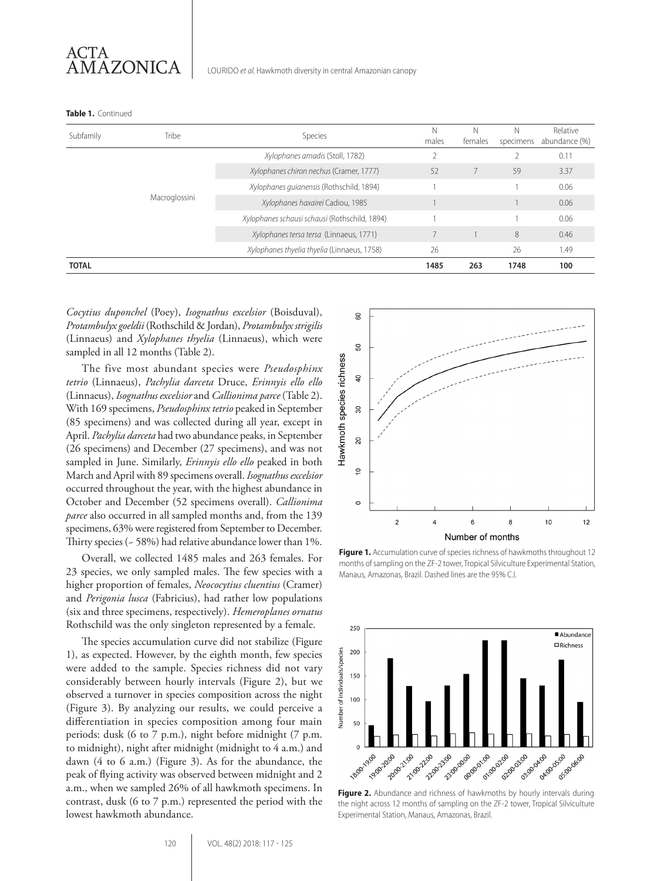**Table 1.** Continued

| Subfamily    | Tribe         | Species                                       | Ν<br>males | N<br>females | N<br>specimens | Relative<br>abundance (%) |
|--------------|---------------|-----------------------------------------------|------------|--------------|----------------|---------------------------|
|              |               | Xylophanes amadis (Stoll, 1782)               |            |              |                | 0.11                      |
|              | Macroglossini | Xylophanes chiron nechus (Cramer, 1777)       | 52         |              | 59             | 3.37                      |
|              |               | Xylophanes quianensis (Rothschild, 1894)      |            |              |                | 0.06                      |
|              |               | Xylophanes haxairei Cadiou, 1985              |            |              |                | 0.06                      |
|              |               | Xylophanes schausi schausi (Rothschild, 1894) |            |              |                | 0.06                      |
|              |               | Xylophanes tersa tersa (Linnaeus, 1771)       |            |              | 8              | 0.46                      |
|              |               | Xylophanes thyelia thyelia (Linnaeus, 1758)   | 26         |              | 26             | 1.49                      |
| <b>TOTAL</b> |               |                                               | 1485       | 263          | 1748           | 100                       |

*Cocytius duponchel* (Poey), *Isognathus excelsior* (Boisduval), *Protambulyx goeldii* (Rothschild & Jordan), *Protambulyx strigilis* (Linnaeus) and *Xylophanes thyelia* (Linnaeus), which were sampled in all 12 months (Table 2).

The five most abundant species were *Pseudosphinx tetrio* (Linnaeus), *Pachylia darceta* Druce, *Erinnyis ello ello* (Linnaeus), *Isognathus excelsior* and *Callionima parce* (Table 2). With 169 specimens, *Pseudosphinx tetrio* peaked in September (85 specimens) and was collected during all year, except in April. *Pachylia darceta* had two abundance peaks, in September (26 specimens) and December (27 specimens), and was not sampled in June. Similarly, *Erinnyis ello ello* peaked in both March and April with 89 specimens overall. *Isognathus excelsior*  occurred throughout the year, with the highest abundance in October and December (52 specimens overall). *Callionima parce* also occurred in all sampled months and, from the 139 specimens, 63% were registered from September to December. Thirty species (~ 58%) had relative abundance lower than 1%.

Overall, we collected 1485 males and 263 females. For 23 species, we only sampled males. The few species with a higher proportion of females, *Neococytius cluentius* (Cramer) and *Perigonia lusca* (Fabricius), had rather low populations (six and three specimens, respectively). *Hemeroplanes ornatus* Rothschild was the only singleton represented by a female.

The species accumulation curve did not stabilize (Figure 1), as expected. However, by the eighth month, few species were added to the sample. Species richness did not vary considerably between hourly intervals (Figure 2), but we observed a turnover in species composition across the night (Figure 3). By analyzing our results, we could perceive a differentiation in species composition among four main periods: dusk (6 to 7 p.m.), night before midnight (7 p.m. to midnight), night after midnight (midnight to 4 a.m.) and dawn (4 to 6 a.m.) (Figure 3). As for the abundance, the peak of flying activity was observed between midnight and 2 a.m., when we sampled 26% of all hawkmoth specimens. In contrast, dusk (6 to 7 p.m.) represented the period with the lowest hawkmoth abundance.



**Figure 1.** Accumulation curve of species richness of hawkmoths throughout 12 months of sampling on the ZF-2 tower, Tropical Silviculture Experimental Station, Manaus, Amazonas, Brazil. Dashed lines are the 95% C.I.



Figure 2. Abundance and richness of hawkmoths by hourly intervals during the night across 12 months of sampling on the ZF-2 tower, Tropical Silviculture Experimental Station, Manaus, Amazonas, Brazil.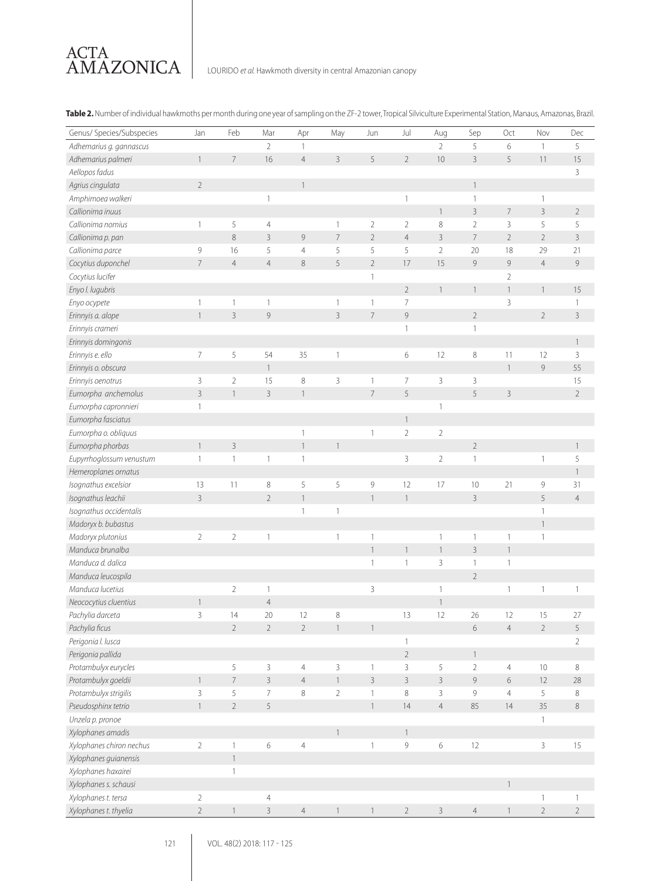

**Table 2.** Number of individual hawkmoths per month during one year of sampling on the ZF-2 tower, Tropical Silviculture Experimental Station, Manaus, Amazonas, Brazil.

| Genus/ Species/Subspecies | Jan             | Feb             | Mar             | Apr            | May                      | Jun            | Jul            | Aug            | Sep            | Oct            | Nov            | Dec            |
|---------------------------|-----------------|-----------------|-----------------|----------------|--------------------------|----------------|----------------|----------------|----------------|----------------|----------------|----------------|
| Adhemarius g. gannascus   |                 |                 | $\overline{2}$  | 1              |                          |                |                | $\overline{2}$ | 5              | 6              | $\mathbf{1}$   | 5              |
| Adhemarius palmeri        | $\mathbf{1}$    | $\overline{7}$  | 16              | $\overline{4}$ | $\overline{3}$           | 5              | $\overline{2}$ | 10             | $\overline{3}$ | 5              | 11             | 15             |
| Aellopos fadus            |                 |                 |                 |                |                          |                |                |                |                |                |                | 3              |
| Agrius cingulata          | $\overline{2}$  |                 |                 | $\mathbf{1}$   |                          |                |                |                | $\mathbf{1}$   |                |                |                |
| Amphimoea walkeri         |                 |                 | 1               |                |                          |                | 1              |                | $\overline{1}$ |                | 1              |                |
| Callionima inuus          |                 |                 |                 |                |                          |                |                | $\mathbf{1}$   | $\overline{3}$ | $\overline{7}$ | $\overline{3}$ | $\overline{2}$ |
| Callionima nomius         | 1               | 5               | $\overline{4}$  |                | 1                        | $\overline{2}$ | $\overline{2}$ | 8              | $\overline{2}$ | 3              | 5              | 5              |
| Callionima p. pan         |                 | $\,8\,$         | $\overline{3}$  | 9              | $\overline{7}$           | $\overline{2}$ | $\overline{4}$ | $\overline{3}$ | $\overline{7}$ | $\overline{2}$ | $\overline{2}$ | $\overline{3}$ |
| Callionima parce          | $\,9$           | 16              | 5               | $\overline{4}$ | 5                        | 5              | 5              | $\overline{2}$ | 20             | 18             | 29             | 21             |
| Cocytius duponchel        | $7\overline{ }$ | $\overline{4}$  | $\overline{4}$  | 8              | 5                        | $\overline{2}$ | 17             | 15             | 9              | 9              | $\overline{4}$ | $\mathcal{G}$  |
| Cocytius lucifer          |                 |                 |                 |                |                          | 1              |                |                |                | $\overline{2}$ |                |                |
| Enyo I. lugubris          |                 |                 |                 |                |                          |                | $\overline{2}$ | $\mathbf{1}$   | $\mathbf{1}$   | $\mathbf{1}$   | $\overline{1}$ | 15             |
| Enyo ocypete              | $\mathbf{1}$    | 1               | $\mathbf{1}$    |                | $\mathbf{1}$             | $\mathbf{1}$   | 7              |                |                | 3              |                | 1              |
| Erinnyis a. alope         | $\mathbf{1}$    | $\overline{3}$  | 9               |                | $\overline{3}$           | $\overline{7}$ | 9              |                | $\overline{2}$ |                | $\overline{2}$ | $\overline{3}$ |
| Erinnyis crameri          |                 |                 |                 |                |                          |                | $\mathbf{1}$   |                | $\mathbf{1}$   |                |                |                |
| Erinnyis domingonis       |                 |                 |                 |                |                          |                |                |                |                |                |                | $\mathbf{1}$   |
| Erinnyis e. ello          | $\overline{7}$  | 5               | 54              | 35             | $\mathbf{1}$             |                | 6              | 12             | $\,8\,$        | 11             | 12             | 3              |
| Erinnyis o. obscura       |                 |                 | $\mathbf{1}$    |                |                          |                |                |                |                | $\mathbf{1}$   | $\mathcal{G}$  | 55             |
| Erinnyis oenotrus         | 3               | $\overline{2}$  | 15              | 8              | 3                        | 1              | 7              | 3              | 3              |                |                | 15             |
| Eumorpha anchemolus       | $\overline{3}$  |                 | $\overline{3}$  | $\mathbf{1}$   |                          | $\overline{7}$ | 5              |                | 5              | 3              |                | $\overline{2}$ |
| Eumorpha capronnieri      | $\mathbf{1}$    |                 |                 |                |                          |                |                | $\mathbf{1}$   |                |                |                |                |
| Eumorpha fasciatus        |                 |                 |                 |                |                          |                | $\mathbf{1}$   |                |                |                |                |                |
| Eumorpha o. obliquus      |                 |                 |                 | 1              |                          | 1              | $\overline{2}$ | $\overline{2}$ |                |                |                |                |
| Eumorpha phorbas          | $\mathbf{1}$    | 3               |                 | $\mathbf{1}$   | $\mathbf{1}$             |                |                |                | $2\,$          |                |                | $\mathbf{1}$   |
| Eupyrrhoglossum venustum  | 1               | $\mathbf{1}$    | $\mathbb{1}$    | $\mathbf{1}$   |                          |                | 3              | $\overline{2}$ | $\mathbf{1}$   |                | 1              | 5              |
| Hemeroplanes ornatus      |                 |                 |                 |                |                          |                |                |                |                |                |                | $\overline{1}$ |
| Isognathus excelsior      | 13              | 11              | $\,8\,$         | 5              | 5                        | 9              | 12             | 17             | 10             | 21             | 9              | 31             |
| Isognathus leachii        | $\overline{3}$  |                 | $\sqrt{2}$      | $\mathbf{1}$   |                          | $\mathbf{1}$   | $\mathbf{1}$   |                | $\overline{3}$ |                | 5              | $\overline{4}$ |
| Isognathus occidentalis   |                 |                 |                 | 1              | 1                        |                |                |                |                |                | 1              |                |
| Madoryx b. bubastus       |                 |                 |                 |                |                          |                |                |                |                |                | $\mathbf{1}$   |                |
| Madoryx plutonius         | $\overline{2}$  | $\overline{2}$  | $\mathbf{1}$    |                | $\mathbf{1}$             | 1              |                | $\mathbf{1}$   | $\mathbf{1}$   | $\mathbf{1}$   | $\mathbf{1}$   |                |
| Manduca brunalba          |                 |                 |                 |                |                          | $\mathbf{1}$   | $\mathbf{1}$   | $\mathbf{1}$   | $\overline{3}$ | $\mathbf{1}$   |                |                |
| Manduca d. dalica         |                 |                 |                 |                |                          | $\mathbf{1}$   | 1              | 3              | $\mathbf{1}$   | $\mathbf{1}$   |                |                |
| Manduca leucospila        |                 |                 |                 |                |                          |                |                |                | $\overline{2}$ |                |                |                |
| Manduca lucetius          |                 | $\overline{2}$  | $\mathbf{1}$    |                |                          | 3              |                | $\mathbf{1}$   |                | $\mathbf{1}$   | 1              | 1              |
| Neococytius cluentius     | $\mathbf{1}$    |                 | $\overline{4}$  |                |                          |                |                | $\mathbf{1}$   |                |                |                |                |
| Pachylia darceta          | 3               | 14              | 20              | 12             | $\,8\,$                  |                | 13             | 12             | 26             | 12             | 15             | 27             |
| Pachylia ficus            |                 | $2\overline{ }$ | $\overline{2}$  | $\overline{2}$ | $\overline{\phantom{a}}$ | $\mathbf{1}$   |                |                | $6\,$          | $\overline{4}$ | $\overline{2}$ | 5              |
| Perigonia I. Iusca        |                 |                 |                 |                |                          |                | $\mathbf{1}$   |                |                |                |                | $\overline{2}$ |
| Perigonia pallida         |                 |                 |                 |                |                          |                | $\overline{2}$ |                | $\mathbf{1}$   |                |                |                |
| Protambulyx eurycles      |                 | 5               | $\mathsf{3}$    | $\overline{4}$ | 3                        | $\mathbb{1}$   | 3              | 5              | $\overline{2}$ | $\overline{4}$ | 10             | $\,8\,$        |
| Protambulyx goeldii       | $\mathbf{1}$    | $\overline{7}$  | $\overline{3}$  | $\overline{4}$ | $\mathbf{1}$             | $\overline{3}$ | $\mathsf{3}$   | $\overline{3}$ | 9              | 6              | 12             | 28             |
| Protambulyx strigilis     | $\mathbf{3}$    | 5               | $7\overline{ }$ | $\,8\,$        | $2\,$                    | $\mathbf{1}$   | $\,8\,$        | $\mathbf{3}$   | 9              | $\overline{4}$ | 5              | 8              |
| Pseudosphinx tetrio       | $\mathbf{1}$    | $\overline{2}$  | 5               |                |                          | $\mathbb{1}$   | 14             | $\overline{4}$ | 85             | 14             | 35             | $\,8\,$        |
| Unzela p. pronoe          |                 |                 |                 |                |                          |                |                |                |                |                | $\mathbf{1}$   |                |
| Xylophanes amadis         |                 |                 |                 |                | $\mathbf{1}$             |                | $\mathbf{1}$   |                |                |                |                |                |
| Xylophanes chiron nechus  | $\overline{2}$  | $\mathbf{1}$    | 6               | $\sqrt{4}$     |                          | $\mathbf{1}$   | 9              | 6              | 12             |                | 3              | 15             |
| Xylophanes guianensis     |                 | $\mathbf{1}$    |                 |                |                          |                |                |                |                |                |                |                |
| Xylophanes haxairei       |                 | 1               |                 |                |                          |                |                |                |                |                |                |                |
| Xylophanes s. schausi     |                 |                 |                 |                |                          |                |                |                |                | $\mathbf{1}$   |                |                |
| Xylophanes t. tersa       | $\mathbf{2}$    |                 | $\overline{4}$  |                |                          |                |                |                |                |                | $\mathbf{1}$   | 1              |
| Xylophanes t. thyelia     | $\overline{2}$  | $\mathbf{1}$    | $\mathsf{3}$    | $\overline{4}$ | $\mathbf{1}$             | $\overline{1}$ | $\overline{2}$ | $\mathbf{3}$   | $\overline{4}$ | $\mathbf{1}$   | $\sqrt{2}$     | $\sqrt{2}$     |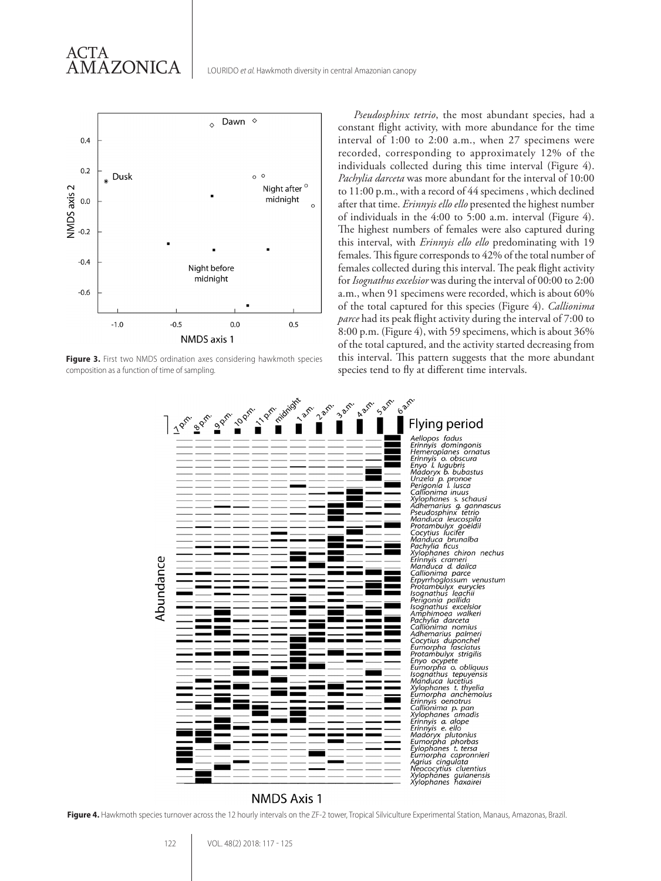

ACTA

AMAZONICA

Figure 3. First two NMDS ordination axes considering hawkmoth species composition as a function of time of sampling.

*Pseudosphinx tetrio*, the most abundant species, had a constant flight activity, with more abundance for the time interval of 1:00 to 2:00 a.m., when 27 specimens were recorded, corresponding to approximately 12% of the individuals collected during this time interval (Figure 4). *Pachylia darceta* was more abundant for the interval of 10:00 to 11:00 p.m., with a record of 44 specimens , which declined after that time. *Erinnyis ello ello* presented the highest number of individuals in the 4:00 to 5:00 a.m. interval (Figure 4). The highest numbers of females were also captured during this interval, with *Erinnyis ello ello* predominating with 19 females. This figure corresponds to 42% of the total number of females collected during this interval. The peak flight activity for *Isognathus excelsior* was during the interval of 00:00 to 2:00 a.m., when 91 specimens were recorded, which is about 60% of the total captured for this species (Figure 4). *Callionima parce* had its peak flight activity during the interval of 7:00 to 8:00 p.m. (Figure 4), with 59 specimens, which is about 36% of the total captured, and the activity started decreasing from this interval. This pattern suggests that the more abundant species tend to fly at different time intervals.



## **NMDS Axis 1**

Figure 4. Hawkmoth species turnover across the 12 hourly intervals on the ZF-2 tower, Tropical Silviculture Experimental Station, Manaus, Amazonas, Brazil.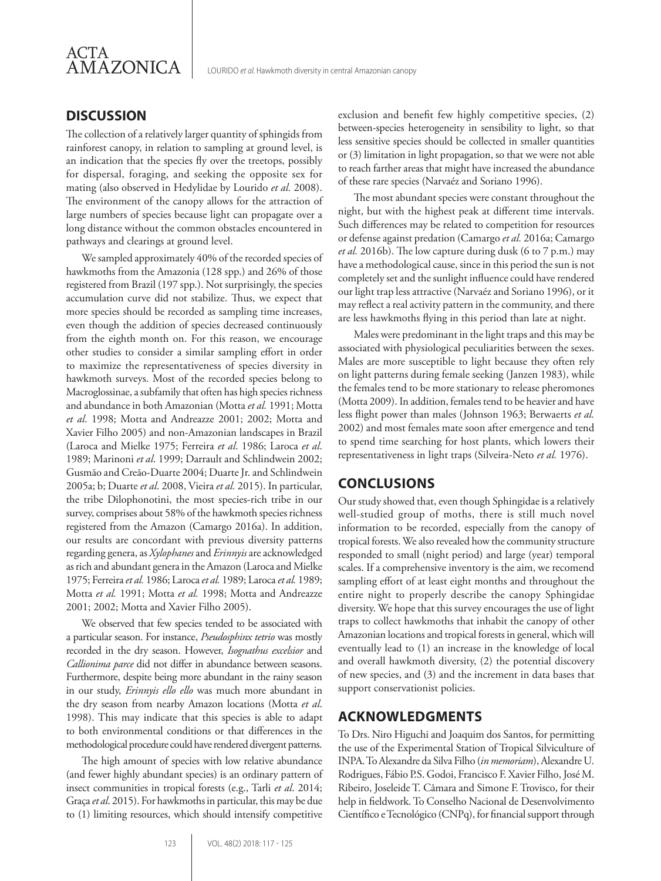

## **DISCUSSION**

The collection of a relatively larger quantity of sphingids from rainforest canopy, in relation to sampling at ground level, is an indication that the species fly over the treetops, possibly for dispersal, foraging, and seeking the opposite sex for mating (also observed in Hedylidae by Lourido *et al.* 2008). The environment of the canopy allows for the attraction of large numbers of species because light can propagate over a long distance without the common obstacles encountered in pathways and clearings at ground level.

We sampled approximately 40% of the recorded species of hawkmoths from the Amazonia (128 spp.) and 26% of those registered from Brazil (197 spp.). Not surprisingly, the species accumulation curve did not stabilize. Thus, we expect that more species should be recorded as sampling time increases, even though the addition of species decreased continuously from the eighth month on. For this reason, we encourage other studies to consider a similar sampling effort in order to maximize the representativeness of species diversity in hawkmoth surveys. Most of the recorded species belong to Macroglossinae, a subfamily that often has high species richness and abundance in both Amazonian (Motta *et al.* 1991; Motta *et al*. 1998; Motta and Andreazze 2001; 2002; Motta and Xavier Filho 2005) and non-Amazonian landscapes in Brazil (Laroca and Mielke 1975; Ferreira *et al*. 1986; Laroca *et al*. 1989; Marinoni *et al*. 1999; Darrault and Schlindwein 2002; Gusmão and Creão-Duarte 2004; Duarte Jr. and Schlindwein 2005a; b; Duarte *et al*. 2008, Vieira *et al.* 2015). In particular, the tribe Dilophonotini, the most species-rich tribe in our survey, comprises about 58% of the hawkmoth species richness registered from the Amazon (Camargo 2016a). In addition, our results are concordant with previous diversity patterns regarding genera, as *Xylophanes* and *Erinnyis* are acknowledged as rich and abundant genera in the Amazon (Laroca and Mielke 1975; Ferreira *et al.* 1986; Laroca *et al.* 1989; Laroca *et al.* 1989; Motta *et al.* 1991; Motta *et al.* 1998; Motta and Andreazze 2001; 2002; Motta and Xavier Filho 2005).

We observed that few species tended to be associated with a particular season. For instance, *Pseudosphinx tetrio* was mostly recorded in the dry season. However, *Isognathus excelsior* and *Callionima parce* did not differ in abundance between seasons. Furthermore, despite being more abundant in the rainy season in our study, *Erinnyis ello ello* was much more abundant in the dry season from nearby Amazon locations (Motta *et al*. 1998). This may indicate that this species is able to adapt to both environmental conditions or that differences in the methodological procedure could have rendered divergent patterns.

The high amount of species with low relative abundance (and fewer highly abundant species) is an ordinary pattern of insect communities in tropical forests (e.g., Tarli *et al*. 2014; Graça *et al*. 2015). For hawkmoths in particular, this may be due to (1) limiting resources, which should intensify competitive exclusion and benefit few highly competitive species, (2) between-species heterogeneity in sensibility to light, so that less sensitive species should be collected in smaller quantities or (3) limitation in light propagation, so that we were not able to reach farther areas that might have increased the abundance of these rare species (Narvaéz and Soriano 1996).

The most abundant species were constant throughout the night, but with the highest peak at different time intervals. Such differences may be related to competition for resources or defense against predation (Camargo *et al.* 2016a; Camargo *et al.* 2016b). The low capture during dusk (6 to 7 p.m.) may have a methodological cause, since in this period the sun is not completely set and the sunlight influence could have rendered our light trap less attractive (Narvaéz and Soriano 1996), or it may reflect a real activity pattern in the community, and there are less hawkmoths flying in this period than late at night.

Males were predominant in the light traps and this may be associated with physiological peculiarities between the sexes. Males are more susceptible to light because they often rely on light patterns during female seeking (Janzen 1983), while the females tend to be more stationary to release pheromones (Motta 2009). In addition, females tend to be heavier and have less flight power than males (Johnson 1963; Berwaerts *et al.* 2002) and most females mate soon after emergence and tend to spend time searching for host plants, which lowers their representativeness in light traps (Silveira-Neto *et al.* 1976).

## **CONCLUSIONS**

Our study showed that, even though Sphingidae is a relatively well-studied group of moths, there is still much novel information to be recorded, especially from the canopy of tropical forests. We also revealed how the community structure responded to small (night period) and large (year) temporal scales. If a comprehensive inventory is the aim, we recomend sampling effort of at least eight months and throughout the entire night to properly describe the canopy Sphingidae diversity. We hope that this survey encourages the use of light traps to collect hawkmoths that inhabit the canopy of other Amazonian locations and tropical forests in general, which will eventually lead to (1) an increase in the knowledge of local and overall hawkmoth diversity, (2) the potential discovery of new species, and (3) and the increment in data bases that support conservationist policies.

## **ACKNOWLEDGMENTS**

To Drs. Niro Higuchi and Joaquim dos Santos, for permitting the use of the Experimental Station of Tropical Silviculture of INPA. To Alexandre da Silva Filho (*in memoriam*), Alexandre U. Rodrigues, Fábio P.S. Godoi, Francisco F. Xavier Filho, José M. Ribeiro, Joseleide T. Câmara and Simone F. Trovisco, for their help in fieldwork. To Conselho Nacional de Desenvolvimento Científico e Tecnológico (CNPq), for financial support through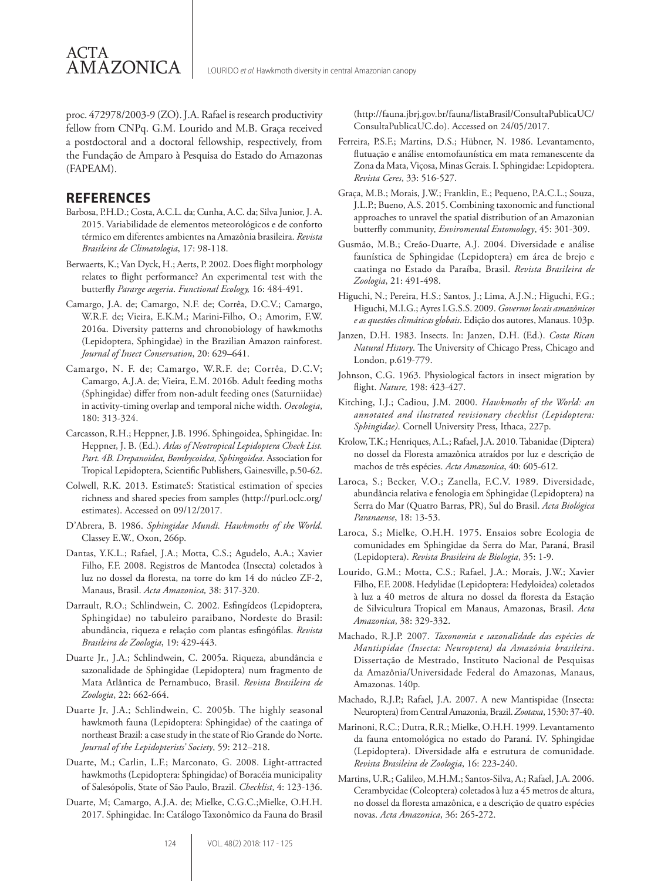proc. 472978/2003-9 (ZO). J.A. Rafael is research productivity fellow from CNPq. G.M. Lourido and M.B. Graça received a postdoctoral and a doctoral fellowship, respectively, from the Fundação de Amparo à Pesquisa do Estado do Amazonas (FAPEAM).

### **REFERENCES**

ACTA

**AMAZONICA** 

- Barbosa, P.H.D.; Costa, A.C.L. da; Cunha, A.C. da; Silva Junior, J. A. 2015. Variabilidade de elementos meteorológicos e de conforto térmico em diferentes ambientes na Amazônia brasileira. *Revista Brasileira de Climatologia*, 17: 98-118.
- Berwaerts, K.; Van Dyck, H.; Aerts, P. 2002. Does flight morphology relates to flight performance? An experimental test with the butterfly *Pararge aegeria*. *Functional Ecology,* 16: 484-491.
- Camargo, J.A. de; Camargo, N.F. de; Corrêa, D.C.V.; Camargo, W.R.F. de; Vieira, E.K.M.; Marini-Filho, O.; Amorim, F.W. 2016a. Diversity patterns and chronobiology of hawkmoths (Lepidoptera, Sphingidae) in the Brazilian Amazon rainforest. *Journal of Insect Conservation*, 20: 629–641.
- Camargo, N. F. de; Camargo, W.R.F. de; Corrêa, D.C.V; Camargo, A.J.A. de; Vieira, E.M. 2016b. Adult feeding moths (Sphingidae) differ from non-adult feeding ones (Saturniidae) in activity-timing overlap and temporal niche width. *Oecologia*, 180: 313-324.
- Carcasson, R.H.; Heppner, J.B. 1996. Sphingoidea, Sphingidae. In: Heppner, J. B. (Ed.). *Atlas of Neotropical Lepidoptera Check List. Part. 4B. Drepanoidea, Bombycoidea, Sphingoidea*. Association for Tropical Lepidoptera, Scientific Publishers, Gainesville, p.50-62.
- Colwell, R.K. 2013. EstimateS: Statistical estimation of species richness and shared species from samples (http://purl.oclc.org/ estimates). Accessed on 09/12/2017.
- D'Abrera, B. 1986. *Sphingidae Mundi. Hawkmoths of the World*. Classey E.W., Oxon, 266p.
- Dantas, Y.K.L.; Rafael, J.A.; Motta, C.S.; Agudelo, A.A.; Xavier Filho, F.F. 2008. Registros de Mantodea (Insecta) coletados à luz no dossel da floresta, na torre do km 14 do núcleo ZF-2, Manaus, Brasil. *Acta Amazonica,* 38: 317-320.
- Darrault, R.O.; Schlindwein, C. 2002. Esfingídeos (Lepidoptera, Sphingidae) no tabuleiro paraibano, Nordeste do Brasil: abundância, riqueza e relação com plantas esfingófilas. *Revista Brasileira de Zoologia*, 19: 429-443.
- Duarte Jr., J.A.; Schlindwein, C. 2005a. Riqueza, abundância e sazonalidade de Sphingidae (Lepidoptera) num fragmento de Mata Atlântica de Pernambuco, Brasil. *Revista Brasileira de Zoologia*, 22: 662-664.
- Duarte Jr, J.A.; Schlindwein, C. 2005b. The highly seasonal hawkmoth fauna (Lepidoptera: Sphingidae) of the caatinga of northeast Brazil: a case study in the state of Rio Grande do Norte. *Journal of the Lepidopterists' Society*, 59: 212–218.
- Duarte, M.; Carlin, L.F.; Marconato, G. 2008. Light-attracted hawkmoths (Lepidoptera: Sphingidae) of Boracéia municipality of Salesópolis, State of São Paulo, Brazil. *Checklist*, 4: 123-136.
- Duarte, M; Camargo, A.J.A. de; Mielke, C.G.C.;Mielke, O.H.H. 2017. Sphingidae. In: Catálogo Taxonômico da Fauna do Brasil

(http://fauna.jbrj.gov.br/fauna/listaBrasil/ConsultaPublicaUC/ ConsultaPublicaUC.do). Accessed on 24/05/2017.

- Ferreira, P.S.F.; Martins, D.S.; Hübner, N. 1986. Levantamento, flutuação e análise entomofaunística em mata remanescente da Zona da Mata, Viçosa, Minas Gerais. I. Sphingidae: Lepidoptera. *Revista Ceres*, 33: 516-527.
- Graça, M.B.; Morais, J.W.; Franklin, E.; Pequeno, P.A.C.L.; Souza, J.L.P.; Bueno, A.S. 2015. Combining taxonomic and functional approaches to unravel the spatial distribution of an Amazonian butterfly community, *Enviromental Entomology*, 45: 301-309.
- Gusmão, M.B.; Creão-Duarte, A.J. 2004. Diversidade e análise faunística de Sphingidae (Lepidoptera) em área de brejo e caatinga no Estado da Paraíba, Brasil. *Revista Brasileira de Zoologia*, 21: 491-498.
- Higuchi, N.; Pereira, H.S.; Santos, J.; Lima, A.J.N.; Higuchi, F.G.; Higuchi, M.I.G.; Ayres I.G.S.S. 2009. *Governos locais amazônicos e as questões climáticas globais*. Edição dos autores, Manaus. 103p.
- Janzen, D.H. 1983. Insects. In: Janzen, D.H. (Ed.). *Costa Rican Natural History*. The University of Chicago Press, Chicago and London, p.619-779.
- Johnson, C.G. 1963. Physiological factors in insect migration by flight. *Nature,* 198: 423-427.
- Kitching, I.J.; Cadiou, J.M. 2000. *Hawkmoths of the World: an annotated and ilustrated revisionary checklist (Lepidoptera: Sphingidae)*. Cornell University Press, Ithaca, 227p.
- Krolow, T.K.; Henriques, A.L.; Rafael, J.A. 2010. Tabanidae (Diptera) no dossel da Floresta amazônica atraídos por luz e descrição de machos de três espécies. *Acta Amazonica*, 40: 605-612.
- Laroca, S.; Becker, V.O.; Zanella, F.C.V. 1989. Diversidade, abundância relativa e fenologia em Sphingidae (Lepidoptera) na Serra do Mar (Quatro Barras, PR), Sul do Brasil. *Acta Biológica Paranaense*, 18: 13-53.
- Laroca, S.; Mielke, O.H.H. 1975. Ensaios sobre Ecologia de comunidades em Sphingidae da Serra do Mar, Paraná, Brasil (Lepidoptera). *Revista Brasileira de Biologia*, 35: 1-9.
- Lourido, G.M.; Motta, C.S.; Rafael, J.A.; Morais, J.W.; Xavier Filho, F.F. 2008. Hedylidae (Lepidoptera: Hedyloidea) coletados à luz a 40 metros de altura no dossel da floresta da Estação de Silvicultura Tropical em Manaus, Amazonas, Brasil. *Acta Amazonica*, 38: 329-332.
- Machado, R.J.P. 2007. *Taxonomia e sazonalidade das espécies de Mantispidae (Insecta: Neuroptera) da Amazônia brasileira*. Dissertação de Mestrado, Instituto Nacional de Pesquisas da Amazônia/Universidade Federal do Amazonas, Manaus, Amazonas. 140p.
- Machado, R.J.P.; Rafael, J.A. 2007. A new Mantispidae (Insecta: Neuroptera) from Central Amazonia, Brazil. *Zootaxa*, 1530: 37-40.
- Marinoni, R.C.; Dutra, R.R.; Mielke, O.H.H. 1999. Levantamento da fauna entomológica no estado do Paraná. IV. Sphingidae (Lepidoptera). Diversidade alfa e estrutura de comunidade. *Revista Brasileira de Zoologia*, 16: 223-240.
- Martins, U.R.; Galileo, M.H.M.; Santos-Silva, A.; Rafael, J.A. 2006. Cerambycidae (Coleoptera) coletados à luz a 45 metros de altura, no dossel da floresta amazônica, e a descrição de quatro espécies novas. *Acta Amazonica*, 36: 265-272.